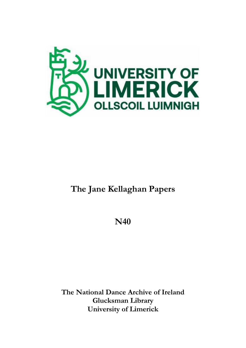

# **The Jane Kellaghan Papers**

**N40**

**The National Dance Archive of Ireland Glucksman Library University of Limerick**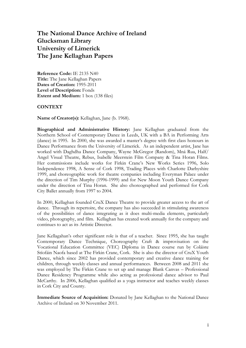# **The National Dance Archive of Ireland Glucksman Library University of Limerick The Jane Kellaghan Papers**

**Reference Code:** IE 2135 N40 **Title:** The Jane Kellaghan Papers **Dates of Creation:** 1995-2011 **Level of Description:** Fonds **Extent and Medium:** 1 box (138 files)

#### **CONTEXT**

**Name of Creator(s):** Kellaghan, Jane (b. 1968).

**Biographical and Administrative History:** Jane Kellaghan graduated from the Northern School of Contemporary Dance in Leeds, UK with a BA in Performing Arts (dance) in 1995. In 2000, she was awarded a master's degree with first class honours in Dance Performance from the University of Limerick. As an independent artist, Jane has worked with Daghdha Dance Company, Wayne McGregor (Random), Mná Rua, Half/ Angel Visual Theatre, Rebus, Isabelle Meerstein Film Company & Tina Horan Films. Her commissions include works for Firkin Crane's New Works Series 1996, Solo Independence 1998, A Sense of Cork 1998, Trading Places with Charlotte Darbyshire 1999, and choreographic work for theatre companies including Everyman Palace under the direction of Tim Murphy (1996-1999) and for New Moon Youth Dance Company under the direction of Tina Horan. She also choreographed and performed for Cork City Ballet annually from 1997 to 2004.

In 2000, Kellaghan founded CruX Dance Theatre to provide greater access to the art of dance. Through its repertoire, the company has also succeeded in stimulating awareness of the possibilities of dance integrating as it does multi-media elements, particularly video, photography, and film. Kellaghan has created work annually for the company and continues to act as its Artistic Director.

Jane Kellagahan's other significant role is that of a teacher. Since 1995, she has taught Contemporary Dance Technique, Choreography Craft & improvisation on the Vocational Education Committee (VEC) Diploma in Dance course run by Coláiste Stíofáin Naofa based at The Firkin Crane, Cork. She is also the director of CruX Youth Dance, which since 2002 has provided contemporary and creative dance training for children, through weekly classes and annual performances. Between 2008 and 2011 she was employed by The Firkin Crane to set up and manage Blank Canvas – Professional Dance Residency Programme while also acting as professional dance advisor to Paul McCarthy. In 2006, Kellaghan qualified as a yoga instructor and teaches weekly classes in Cork City and County.

**Immediate Source of Acquisition:** Donated by Jane Kellaghan to the National Dance Archive of Ireland on 30 November 2011.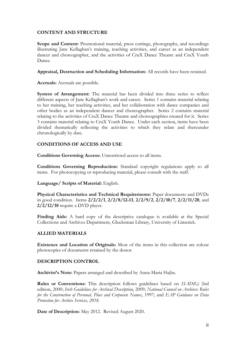## **CONTENT AND STRUCTURE**

Scope and Content: Promotional material, press cuttings, photographs, and recordings illustrating Jane Kellaghan's training, teaching activities, and career as an independent dancer and choreographer, and the activities of CruX Dance Theatre and CruX Youth Dance.

**Appraisal, Destruction and Scheduling Information:** All records have been retained.

**Accruals:** Accruals are possible.

**System of Arrangement:** The material has been divided into three series to reflect different aspects of Jane Kellaghan's work and career. Series 1 contains material relating to her training, her teaching activities, and her collaboration with dance companies and other bodies as an independent dancer and choreographer. Series 2 contains material relating to the activities of CruX Dance Theatre and choreographies created for it. Series 3 contains material relating to CruX Youth Dance. Under each section, items have been divided thematically reflecting the activities to which they relate and thereunder chronologically by date.

## **CONDITIONS OF ACCESS AND USE**

**Conditions Governing Access:** Unrestricted access to all items.

**Conditions Governing Reproduction:** Standard copyright regulations apply to all items. For photocopying or reproducing material, please consult with the staff.

**Language/ Scripts of Material:** English.

**Physical Characteristics and Technical Requirements:** Paper documents and DVDs in good condition. Items **2/2/2/1**, **2/2/8/12-13**, **2/2/9/2**, **2/2/10/7**, **2/2/11/20**, and **2/2/12/10** require a DVD player.

**Finding Aids:** A hard copy of the descriptive catalogue is available at the Special Collections and Archives Department, Glucksman Library, University of Limerick.

#### **ALLIED MATERIALS**

**Existence and Location of Originals:** Most of the items in this collection are colour photocopies of documents retained by the donor.

#### **DESCRIPTION CONTROL**

**Archivist's Note:** Papers arranged and described by Anna-Maria Hajba.

**Rules or Conventions:** This description follows guidelines based on *ISAD(G)* 2nd edition, 2000; *Irish Guidelines for Archival Description*, 2009; *National Council on Archives: Rules for the Construction of Personal, Place and Corporate Names*, 1997; and *EAP Guidance on Data Protection for Archive Services, 2018*.

**Date of Description:** May 2012. Revised August 2020.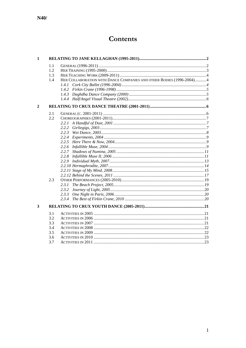# Contents

| 1 |     |                                                                      |  |
|---|-----|----------------------------------------------------------------------|--|
|   | 1.1 |                                                                      |  |
|   | 1.2 |                                                                      |  |
|   | 1.3 |                                                                      |  |
|   | 1.4 | HER COLLABORATION WITH DANCE COMPANIES AND OTHER BODIES (1996-2004)4 |  |
|   |     | 1.4.1                                                                |  |
|   |     | 1.4.2                                                                |  |
|   |     |                                                                      |  |
|   |     |                                                                      |  |
| 2 |     |                                                                      |  |
|   | 2.1 |                                                                      |  |
|   | 2.2 |                                                                      |  |
|   |     |                                                                      |  |
|   |     | 2.2.2                                                                |  |
|   |     |                                                                      |  |
|   |     |                                                                      |  |
|   |     |                                                                      |  |
|   |     |                                                                      |  |
|   |     | 2.2.7                                                                |  |
|   |     |                                                                      |  |
|   |     |                                                                      |  |
|   |     |                                                                      |  |
|   |     |                                                                      |  |
|   |     |                                                                      |  |
|   | 2.3 |                                                                      |  |
|   |     | 2.3.1                                                                |  |
|   |     | 2.3.2                                                                |  |
|   |     | 2.3.3                                                                |  |
|   |     | 2.3.4                                                                |  |
| 3 |     |                                                                      |  |
|   | 3.1 |                                                                      |  |
|   | 3.2 |                                                                      |  |
|   | 3.3 |                                                                      |  |
|   | 3.4 |                                                                      |  |
|   | 3.5 |                                                                      |  |
|   | 3.6 |                                                                      |  |
|   | 3.7 |                                                                      |  |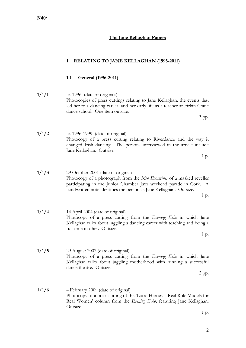**1/1/6** 4 February 2009 (date of original) Photocopy of a press cutting of the 'Local Heroes – Real Role Models for Real Women' column from the *Evening Echo*, featuring Jane Kellaghan. Outsize.

**N40/**

# **The Jane Kellaghan Papers**

# <span id="page-4-0"></span>**1 RELATING TO JANE KELLAGHAN (1995-2011)**

# <span id="page-4-1"></span>**1.1 General (1996-2011)**

# **1/1/1** [c. 1996] (date of originals) Photocopies of press cuttings relating to Jane Kellaghan, the events that led her to a dancing career, and her early life as a teacher at Firkin Crane dance school. One item outsize. 3 pp. **1/1/2** [c. 1996-1999] (date of original)

Photocopy of a press cutting relating to Riverdance and the way it changed Irish dancing. The persons interviewed in the article include Jane Kellaghan. Outsize.

1 p.

1 p. **1/1/3** 29 October 2001 (date of original) Photocopy of a photograph from the *Irish Examiner* of a masked reveller participating in the Junior Chamber Jazz weekend parade in Cork. A handwritten note identifies the person as Jane Kellaghan. Outsize. 1 p. **1/1/4** 14 April 2004 (date of original) Photocopy of a press cutting from the *Evening Echo* in which Jane Kellaghan talks about juggling a dancing career with teaching and being a full-time mother. Outsize. 1 p. **1/1/5** 29 August 2007 (date of original) Photocopy of a press cutting from the *Evening Echo* in which Jane Kellaghan talks about juggling motherhood with running a successful dance theatre. Outsize. 2 pp.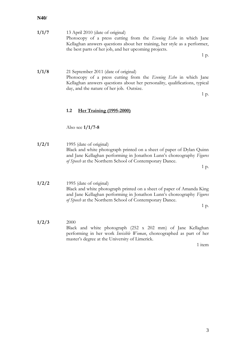| 1/1/7 | 13 April 2010 (date of original)                                          |
|-------|---------------------------------------------------------------------------|
|       | Photocopy of a press cutting from the <i>Evening Echo</i> in which Jane   |
|       | Kellaghan answers questions about her training, her style as a performer, |
|       | the best parts of her job, and her upcoming projects.                     |
|       |                                                                           |

1 p.

**1/1/8** 21 September 2011 (date of original) Photocopy of a press cutting from the *Evening Echo* in which Jane Kellaghan answers questions about her personality, qualifications, typical day, and the nature of her job. Outsize.

1 p.

#### <span id="page-5-0"></span>**1.2 Her Training (1995-2000)**

Also see **1/1/7-8**

**1/2/1** 1995 (date of original) Black and white photograph printed on a sheet of paper of Dylan Quinn and Jane Kellaghan performing in Jonathon Lunn's choreography *Figures of Speech* at the Northern School of Contemporary Dance.

1 p.

**1/2/2** 1995 (date of original) Black and white photograph printed on a sheet of paper of Amanda King and Jane Kellaghan performing in Jonathon Lunn's choreography *Figures of Speech* at the Northern School of Contemporary Dance.

1 p.

**1/2/3** 2000 Black and white photograph (252 x 202 mm) of Jane Kellaghan performing in her work *Invisible Woman*, choreographed as part of her master's degree at the University of Limerick.

1 item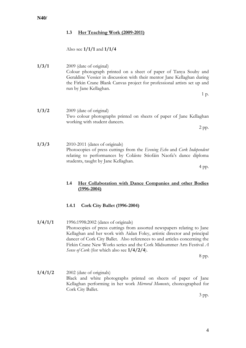## <span id="page-6-0"></span>**1.3 Her Teaching Work (2009-2011)**

#### Also see **1/1/1** and **1/1/4**

## **1/3/1** 2009 (date of original) Colour photograph printed on a sheet of paper of Tanya Souby and Geraldine Vessier in discussion with their mentor Jane Kellaghan during the Firkin Crane Blank Canvas project for professional artists set up and run by Jane Kellaghan.

1 p.

**1/3/2** 2009 (date of original) Two colour photographs printed on sheets of paper of Jane Kellaghan working with student dancers.

2 pp.

**1/3/3** 2010-2011 (dates of originals) Photocopies of press cuttings from the *Evening Echo* and *Cork Independent* relating to performances by Coláiste Stiofáin Naofa's dance diploma students, taught by Jane Kellaghan.

4 pp.

#### <span id="page-6-1"></span>**1.4 Her Collaboration with Dance Companies and other Bodies (1996-2004)**

#### <span id="page-6-2"></span>**1.4.1 Cork City Ballet (1996-2004)**

**1/4/1/1** 1996:1998:2002 (dates of originals) Photocopies of press cuttings from assorted newspapers relating to Jane Kellaghan and her work with Aidan Foley, artistic director and principal dancer of Cork City Ballet. Also references to and articles concerning the Firkin Crane New Works series and the Cork Midsummer Arts Festival *A Sense of Cork* (for which also see **1/4/2/4**).

8 pp.

**1/4/1/2** 2002 (date of originals) Black and white photographs printed on sheets of paper of Jane Kellaghan performing in her work *Mirrored Moments*, choreographed for Cork City Ballet.

3 pp.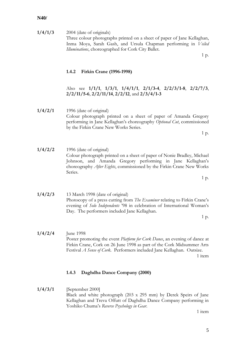**1/4/1/3** 2004 (date of originals) Three colour photographs printed on a sheet of paper of Jane Kellaghan, Inma Moya, Sarah Gash, and Ursula Chapman performing in *Veiled Illuminations*, choreographed for Cork City Ballet.

1 p.

#### <span id="page-7-0"></span>**1.4.2 Firkin Crane (1996-1998)**

Also see **1/1/1**, **1/3/1**, **1/4/1/1**, **2/1/3-4**, **2/2/3/1-8**, **2/2/7/3**, **2/2/11/5-6**, **2/2/11/14**, **2/2/12**, and **2/3/4/1-3**

**1/4/2/1** 1996 (date of original) Colour photograph printed on a sheet of paper of Amanda Gregory performing in Jane Kellaghan's choreography *Optional Cut*, commissioned by the Firkin Crane New Works Series.

1 p.

**1/4/2/2** 1996 (date of original) Colour photograph printed on a sheet of paper of Nonie Bradley, Michael Johnson, and Amanda Gregory performing in Jane Kellaghan's choreography *After Eights*, commissioned by the Firkin Crane New Works Series.

1 p.

**1/4/2/3** 13 March 1998 (date of original) Photocopy of a press cutting from *The Examiner* relating to Firkin Crane's evening of *Solo Independents* '98 in celebration of International Woman's Day. The performers included Jane Kellaghan.

1 p.

**1/4/2/4** June 1998 Poster promoting the event *Platform for Cork Dance*, an evening of dance at Firkin Crane, Cork on 26 June 1998 as part of the Cork Midsummer Arts Festival *A Sense of Cork*. Performers included Jane Kellaghan. Outsize. 1 item

#### <span id="page-7-1"></span>**1.4.3 Daghdha Dance Company (2000)**

**1/4/3/1** [September 2000] Black and white photograph (203 x 295 mm) by Derek Speirs of Jane Kellaghan and Treva Offutt of Daghdha Dance Company performing in Yoshiko Chuma's *Reverse Psychology in Gear*.

1 item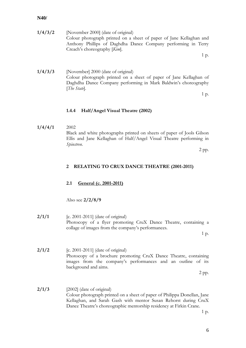**1/4/3/2** [November 2000] (date of original) Colour photograph printed on a sheet of paper of Jane Kellaghan and Anthony Phillips of Daghdha Dance Company performing in Terry Creach's choreography [*Kim*].

1 p.

**1/4/3/3** [November] 2000 (date of original) Colour photograph printed on a sheet of paper of Jane Kellaghan of Daghdha Dance Company performing in Mark Baldwin's choreography [*The State*].

1 p.

#### <span id="page-8-0"></span>**1.4.4 Half/Angel Visual Theatre (2002)**

**1/4/4/1** 2002 Black and white photographs printed on sheets of paper of Jools Gilson Ellis and Jane Kellaghan of Half/Angel Visual Theatre performing in *Spinstren*.

2 pp.

#### <span id="page-8-1"></span>**2 RELATING TO CRUX DANCE THEATRE (2001-2011)**

#### <span id="page-8-2"></span>**2.1 General (c. 2001-2011)**

Also see **2/2/8/9**

**2/1/1** [c. 2001-2011] (date of original) Photocopy of a flyer promoting CruX Dance Theatre, containing a collage of images from the company's performances.

1 p.

**2/1/2** [c. 2001-2011] (date of original) Photocopy of a brochure promoting CruX Dance Theatre, containing images from the company's performances and an outline of its background and aims.

2 pp.

**2/1/3** [2002] (date of original) Colour photograph printed on a sheet of paper of Philippa Donellan, Jane Kellaghan, and Sarah Gash with mentor Susan Rehorst during CruX Dance Theatre's choreographic mentorship residency at Firkin Crane.

1 p.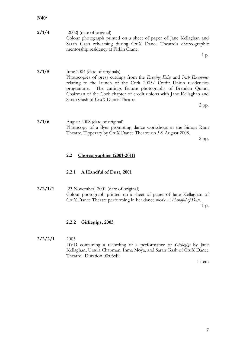| 2/1/4 | $[2002]$ (date of original)                                         |
|-------|---------------------------------------------------------------------|
|       | Colour photograph printed on a sheet of paper of Jane Kellaghan and |
|       | Sarah Gash rehearsing during CruX Dance Theatre's choreographic     |
|       | mentorship residency at Firkin Crane.                               |
|       |                                                                     |

1 p.

**2/1/5** June 2004 (date of originals) Photocopies of press cuttings from the *Evening Echo* and *Irish Examiner* relating to the launch of the Cork 2005/ Credit Union residencies programme. The cuttings feature photographs of Brendan Quinn, Chairman of the Cork chapter of credit unions with Jane Kellaghan and Sarah Gash of CruX Dance Theatre.

2 pp.

**2/1/6** August 2008 (date of original) Photocopy of a flyer promoting dance workshops at the Simon Ryan Theatre, Tipperary by CruX Dance Theatre on 5-9 August 2008.

2 pp.

#### <span id="page-9-0"></span>**2.2 Choreographies (2001-2011)**

#### <span id="page-9-1"></span>**2.2.1 A Handful of Dust, 2001**

**2/2/1/1** [23 November] 2001 (date of original) Colour photograph printed on a sheet of paper of Jane Kellaghan of CruX Dance Theatre performing in her dance work *A Handful of Dust*.

1 p.

#### <span id="page-9-2"></span>**2.2.2 Girliegigs, 2003**

## **2/2/2/1** 2003 DVD containing a recording of a performance of *Girliegigs* by Jane Kellaghan, Ursula Chapman, Inma Moya, and Sarah Gash of CruX Dance Theatre. Duration 00:03:49.

1 item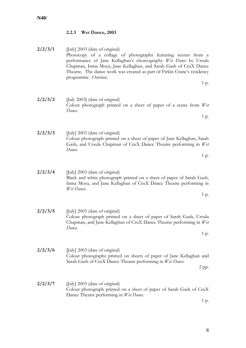# <span id="page-10-0"></span>**2.2.3 Wet Dance, 2003**

| 2/2/3/1 | [July] 2003 (date of original)<br>Photocopy of a collage of photographs featuring scenes from a<br>performance of Jane Kellaghan's choreography Wet Dance by Ursula<br>Chapman, Inma Moya, Jane Kellaghan, and Sarah Gash of CruX Dance<br>Theatre. The dance work was created as part of Firkin Crane's residency<br>programme. Outsize. |
|---------|-------------------------------------------------------------------------------------------------------------------------------------------------------------------------------------------------------------------------------------------------------------------------------------------------------------------------------------------|
|         | 1 p.                                                                                                                                                                                                                                                                                                                                      |
| 2/2/3/2 | [July 2003] (date of original)<br>Colour photograph printed on a sheet of paper of a scene from Wet<br>Dance.<br>1 p.                                                                                                                                                                                                                     |
| 2/2/3/3 | [July] 2003 (date of original)<br>Colour photograph printed on a sheet of paper of Jane Kellaghan, Sarah<br>Gash, and Ursula Chapman of CruX Dance Theatre performing in Wet<br>Dance.                                                                                                                                                    |
|         | 1 p.                                                                                                                                                                                                                                                                                                                                      |
| 2/2/3/4 | [July] 2003 (date of original)<br>Black and white photograph printed on a sheet of paper of Sarah Gash,<br>Inma Moya, and Jane Kellaghan of CruX Dance Theatre performing in<br>Wet Dance.                                                                                                                                                |
|         | 1 p.                                                                                                                                                                                                                                                                                                                                      |
| 2/2/3/5 | [July] 2003 (date of original)<br>Colour photograph printed on a sheet of paper of Sarah Gash, Ursula<br>Chapman, and Jane Kellaghan of CruX Dance Theatre performing in Wet<br>Dance.                                                                                                                                                    |
|         | 1 p.                                                                                                                                                                                                                                                                                                                                      |
| 2/2/3/6 | [July] 2003 (date of original)<br>Colour photographs printed on sheets of paper of Jane Kellaghan and<br>Sarah Gash of CruX Dance Theatre performing in Wet Dance.<br>2 pp.                                                                                                                                                               |
| 2/2/3/7 | [July] 2003 (date of original)<br>Colour photograph printed on a sheet of paper of Sarah Gash of CruX<br>Dance Theatre performing in Wet Dance.<br>1 p.                                                                                                                                                                                   |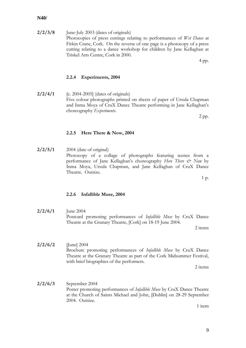**2/2/3/8** June-July 2003 (dates of originals) Photocopies of press cuttings relating to performances of *Wet Dance* at Firkin Crane, Cork. On the reverse of one page is a photocopy of a press cutting relating to a dance workshop for children by Jane Kellaghan at Triskel Arts Centre, Cork in 2000.

4 pp.

#### <span id="page-11-0"></span>**2.2.4 Experiments, 2004**

**2/2/4/1** [c. 2004-2005] (dates of originals) Five colour photographs printed on sheets of paper of Ursula Chapman and Inma Moya of CruX Dance Theatre performing in Jane Kellaghan's choreography *Experiments*.

2 pp.

#### <span id="page-11-1"></span>**2.2.5 Here There & Now, 2004**

**2/2/5/1** 2004 (date of original) Photocopy of a collage of photographs featuring scenes from a performance of Jane Kellaghan's choreography *Here There & Now* by Inma Moya, Ursula Chapman, and Jane Kellaghan of CruX Dance Theatre. Outsize.

1 p.

#### <span id="page-11-2"></span>**2.2.6 Infallible Muse, 2004**

**2/2/6/1** June 2004 Postcard promoting performances of *Infallible Muse* by CruX Dance Theatre at the Granary Theatre, [Cork] on 18-19 June 2004.

2 items

**2/2/6/2** [June] 2004 Brochure promoting performances of *Infallible Muse* by CruX Dance Theatre at the Granary Theatre as part of the Cork Midsummer Festival, with brief biographies of the performers.

2 items

**2/2/6/3** September 2004 Poster promoting performances of *Infallible Muse* by CruX Dance Theatre at the Church of Saints Michael and John, [Dublin] on 28-29 September 2004. Outsize.

1 item

9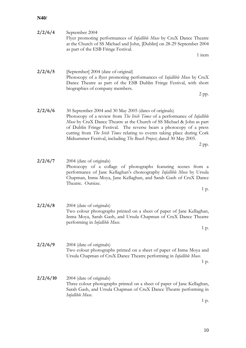| 2/2/6/4  | September 2004<br>Flyer promoting performances of <i>Infallible Muse</i> by CruX Dance Theatre<br>at the Church of SS Michael and John, [Dublin] on 28-29 September 2004<br>as part of the ESB Fringe Festival.<br>1 item                                                                                                                                                                                                                       |
|----------|-------------------------------------------------------------------------------------------------------------------------------------------------------------------------------------------------------------------------------------------------------------------------------------------------------------------------------------------------------------------------------------------------------------------------------------------------|
| 2/2/6/5  | [September] 2004 (date of original)<br>Photocopy of a flyer promoting performances of Infallible Muse by CruX<br>Dance Theatre as part of the ESB Dublin Fringe Festival, with short<br>biographies of company members.<br>$2$ pp.                                                                                                                                                                                                              |
| 2/2/6/6  | 30 September 2004 and 30 May 2005 (dates of originals)<br>Photocopy of a review from The Irish Times of a performance of Infallible<br>Muse by CruX Dance Theatre at the Church of SS Michael & John as part<br>of Dublin Fringe Festival. The reverse bears a photocopy of a press<br>cutting from The Irish Times relating to events taking place during Cork<br>Midsummer Festival, including The Beach Project, dated 30 May 2005.<br>2 pp. |
| 2/2/6/7  | 2004 (date of originals)<br>Photocopy of a collage of photographs featuring scenes from a<br>performance of Jane Kellaghan's choreography Infallible Muse by Ursula<br>Chapman, Inma Moya, Jane Kellaghan, and Sarah Gash of CruX Dance<br>Theatre. Outsize.<br>1 p.                                                                                                                                                                            |
| 2/2/6/8  | 2004 (date of originals)<br>Two colour photographs printed on a sheet of paper of Jane Kellaghan,<br>Inma Moya, Sarah Gash, and Ursula Chapman of CruX Dance Theatre<br>performing in Infallible Muse.<br>1 p.                                                                                                                                                                                                                                  |
| 2/2/6/9  | 2004 (date of originals)<br>Two colour photographs printed on a sheet of paper of Inma Moya and<br>Ursula Chapman of CruX Dance Theatre performing in Infallible Muse.<br>1 p.                                                                                                                                                                                                                                                                  |
| 2/2/6/10 | 2004 (date of originals)<br>Three colour photographs printed on a sheet of paper of Jane Kellaghan,<br>Sarah Gash, and Ursula Chapman of CruX Dance Theatre performing in<br>Infallible Muse.<br>1 p.                                                                                                                                                                                                                                           |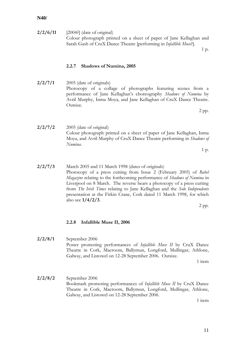#### **2/2/6/11** [2004?] (date of original) Colour photograph printed on a sheet of paper of Jane Kellaghan and Sarah Gash of CruX Dance Theatre [performing in *Infallible Muse*?].

1 p.

#### <span id="page-13-0"></span>**2.2.7 Shadows of Numina, 2005**

**2/2/7/1** 2005 (date of originals) Photocopy of a collage of photographs featuring scenes from a performance of Jane Kellaghan's choreography *Shadows of Numina* by Avril Murphy, Inma Moya, and Jane Kellaghan of CruX Dance Theatre. Outsize.

2 pp.

**2/2/7/2** 2005 (date of original) Colour photograph printed on a sheet of paper of Jane Kellaghan, Inma Moya, and Avril Murphy of CruX Dance Theatre performing in *Shadows of Numina*.

1 p.

**2/2/7/3** March 2005 and 11 March 1998 (dates of originals) Photocopy of a press cutting from Issue 2 (February 2005) of *Babel Magazine* relating to the forthcoming performance of *Shadows of Numina* in Liverpool on 8 March. The reverse bears a photocopy of a press cutting from *The Irish Times* relating to Jane Kellaghan and the *Solo Independents* presentation at the Firkin Crane, Cork dated 11 March 1998, for which also see **1/4/2/3**.

2 pp.

#### <span id="page-13-1"></span>**2.2.8 Infallible Muse II, 2006**

**2/2/8/1** September 2006 Poster promoting performances of *Infallible Muse II* by CruX Dance Theatre in Cork, Macroom, Ballymun, Longford, Mullingar, Athlone, Galway, and Listowel on 12-28 September 2006. Outsize.

1 item

**2/2/8/2** September 2006 Bookmark promoting performances of *Infallible Muse II* by CruX Dance Theatre in Cork, Macroom, Ballymun, Longford, Mullingar, Athlone, Galway, and Listowel on 12-28 September 2006.

1 item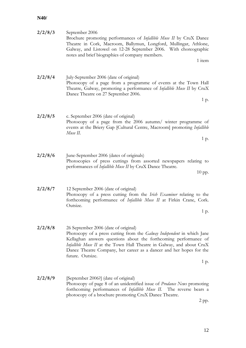| September 2006<br>Brochure promoting performances of <i>Infallible Muse II</i> by CruX Dance<br>Theatre in Cork, Macroom, Ballymun, Longford, Mullingar, Athlone,<br>Galway, and Listowel on 12-28 September 2006. With choreographic<br>notes and brief biographies of company members.<br>1 item                                                             | 2/2/8/3 |
|----------------------------------------------------------------------------------------------------------------------------------------------------------------------------------------------------------------------------------------------------------------------------------------------------------------------------------------------------------------|---------|
| July-September 2006 (date of original)<br>Photocopy of a page from a programme of events at the Town Hall<br>Theatre, Galway, promoting a performance of Infallible Muse II by CruX<br>Dance Theatre on 27 September 2006.<br>1 p.                                                                                                                             | 2/2/8/4 |
| c. September 2006 (date of original)<br>Photocopy of a page from the 2006 autumn/ winter programme of<br>events at the Briery Gap [Cultural Centre, Macroom] promoting Infallible<br>Muse II.<br>1 p.                                                                                                                                                          | 2/2/8/5 |
| June-September 2006 (dates of originals)<br>Photocopies of press cuttings from assorted newspapers relating to<br>performances of <i>Infallible Muse II</i> by CruX Dance Theatre.<br>10 pp.                                                                                                                                                                   | 2/2/8/6 |
| 12 September 2006 (date of original)<br>Photocopy of a press cutting from the Irish Examiner relating to the<br>forthcoming performance of Infallible Muse II at Firkin Crane, Cork.<br>Outsize.<br>1 p.                                                                                                                                                       | 2/2/8/7 |
| 26 September 2006 (date of original)<br>Photocopy of a press cutting from the Galway Independent in which Jane<br>Kellaghan answers questions about the forthcoming performance of<br>Infallible Muse II at the Town Hall Theatre in Galway, and about CruX<br>Dance Theatre Company, her career as a dancer and her hopes for the<br>future. Outsize.<br>1 p. | 2/2/8/8 |
| [September 2006?] (date of original)<br>Photocopy of page 8 of an unidentified issue of <i>Prodance News</i> promoting<br>forthcoming performances of Infallible Muse II. The reverse bears a<br>photocopy of a brochure promoting CruX Dance Theatre.<br>2 pp.                                                                                                | 2/2/8/9 |

12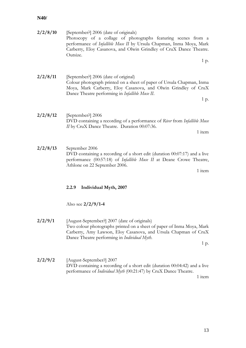<span id="page-15-0"></span>

| 2/2/8/10 | [September?] 2006 (date of originals)<br>Photocopy of a collage of photographs featuring scenes from a<br>performance of Infallible Muse II by Ursula Chapman, Inma Moya, Mark<br>Carberry, Eloy Casanova, and Olwin Grindley of CruX Dance Theatre.<br>Outsize. |
|----------|------------------------------------------------------------------------------------------------------------------------------------------------------------------------------------------------------------------------------------------------------------------|
|          | 1 p.                                                                                                                                                                                                                                                             |
| 2/2/8/11 | [September?] 2006 (date of original)<br>Colour photograph printed on a sheet of paper of Ursula Chapman, Inma<br>Moya, Mark Carberry, Eloy Casanova, and Olwin Grindley of CruX<br>Dance Theatre performing in <i>Infallible Muse II</i> .<br>1 p.               |
| 2/2/8/12 | [September?] 2006<br>DVD containing a recording of a performance of River from Infallible Muse<br>II by CruX Dance Theatre. Duration 00:07:36.<br>1 item                                                                                                         |
| 2/2/8/13 | September 2006<br>DVD containing a recording of a short edit (duration 00:07:17) and a live<br>performance (00:57:18) of <i>Infallible Muse II</i> at Deane Crowe Theatre,<br>Athlone on 22 September 2006.<br>1 item                                            |
|          | Individual Myth, 2007<br>2.2.9                                                                                                                                                                                                                                   |
|          | Also see $2/2/9/1-4$                                                                                                                                                                                                                                             |
| 2/2/9/1  | [August-September?] 2007 (date of originals)<br>Two colour photographs printed on a sheet of paper of Inma Moya, Mark<br>Carberry, Amy Lawson, Eloy Casanova, and Ursula Chapman of CruX<br>Dance Theatre performing in Individual Myth.<br>1 p.                 |
| 2/2/9/2  | [August-September?] 2007<br>DVD containing a recording of a short edit (duration 00:04:42) and a live<br>performance of <i>Individual Myth</i> (00:21:47) by CruX Dance Theatre.<br>1 item                                                                       |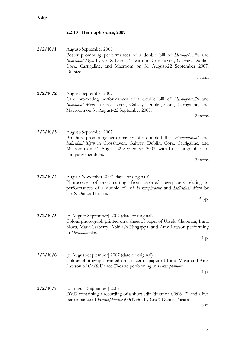# <span id="page-16-0"></span>**2.2.10 Hermaphrodite, 2007**

**2/2/10/1** August-September 2007 Poster promoting performances of a double bill of *Hermaphrodite* and *Individual Myth* by CruX Dance Theatre in Crosshaven, Galway, Dublin, Cork, Carrigaline, and Macroom on 31 August-22 September 2007. Outsize.

**2/2/10/2** August-September 2007 Card promoting performances of a double bill of *Hermaphrodite* and *Individual Myth* in Crosshaven, Galway, Dublin, Cork, Carrigaline, and Macroom on 31 August-22 September 2007.

**2/2/10/3** August-September 2007 Brochure promoting performances of a double bill of *Hermaphrodite* and *Individual Myth* in Crosshaven, Galway, Dublin, Cork, Carrigaline, and Macroom on 31 August-22 September 2007, with brief biographies of company members.

2 items

**2/2/10/4** August-November 2007 (dates of originals) Photocopies of press cuttings from assorted newspapers relating to performances of a double bill of *Hermaphrodite* and *Individual Myth* by CruX Dance Theatre.

15 pp.

- **2/2/10/5** [c. August-September] 2007 (date of original) Colour photograph printed on a sheet of paper of Ursula Chapman, Inma Moya, Mark Carberry, Abhilash Ningappa, and Amy Lawson performing in *Hermaphrodite*.
- **2/2/10/6** [c. August-September] 2007 (date of original) Colour photograph printed on a sheet of paper of Inma Moya and Amy Lawson of CruX Dance Theatre performing in *Hermaphrodite*.

1 p.

1 p.

**2/2/10/7** [c. August-September] 2007 DVD containing a recording of a short edit (duration 00:06:12) and a live performance of *Hermaphrodite* (00:39:36) by CruX Dance Theatre.

1 item

1 item

2 items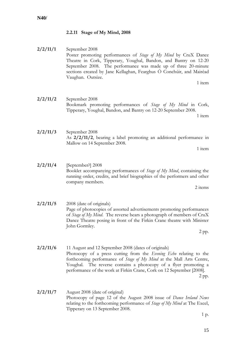# <span id="page-17-0"></span>**2.2.11 Stage of My Mind, 2008**

**2/2/11/1** September 2008 Poster promoting performances of *Stage of My Mind* by CruX Dance Theatre in Cork, Tipperary, Youghal, Bandon, and Bantry on 12-20 September 2008. The performance was made up of three 20-minute sections created by Jane Kellaghan, Fearghus Ó Conchúir, and Mairéad Vaughan. Outsize.

1 item

**2/2/11/2** September 2008 Bookmark promoting performances of *Stage of My Mind* in Cork, Tipperary, Youghal, Bandon, and Bantry on 12-20 September 2008.

1 item

**2/2/11/3** September 2008 As **2/2/11/2**, bearing a label promoting an additional performance in Mallow on 14 September 2008.

1 item

**2/2/11/4** [September?] 2008 Booklet accompanying performances of *Stage of My Mind*, containing the running order, credits, and brief biographies of the performers and other company members.

2 items

**2/2/11/5** 2008 (date of originals) Page of photocopies of assorted advertisements promoting performances of *Stage of My Mind*. The reverse bears a photograph of members of CruX Dance Theatre posing in front of the Firkin Crane theatre with Minister John Gormley.

2 pp.

- **2/2/11/6** 11 August and 12 September 2008 (dates of originals) Photocopy of a press cutting from the *Evening Echo* relating to the forthcoming performance of *Stage of My Mind* at the Mall Arts Centre, Youghal. The reverse contains a photocopy of a flyer promoting a performance of the work at Firkin Crane, Cork on 12 September [2008]. 2 pp.
- **2/2/11/7** August 2008 (date of original) Photocopy of page 12 of the August 2008 issue of *Dance Ireland News* relating to the forthcoming performance of *Stage of My Mind* at The Excel, Tipperary on 13 September 2008.

1 p.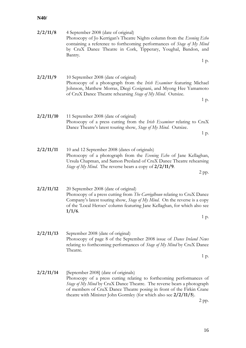| 2/2/11/8  | 4 September 2008 (date of original)<br>Photocopy of Jo Kerrigan's Theatre Nights column from the Evening Echo<br>containing a reference to forthcoming performances of Stage of My Mind<br>by CruX Dance Theatre in Cork, Tipperary, Youghal, Bandon, and<br>Bantry.                                                                         |
|-----------|----------------------------------------------------------------------------------------------------------------------------------------------------------------------------------------------------------------------------------------------------------------------------------------------------------------------------------------------|
|           | 1 p.                                                                                                                                                                                                                                                                                                                                         |
| 2/2/11/9  | 10 September 2008 (date of original)<br>Photocopy of a photograph from the <i>Irish Examiner</i> featuring Michael<br>Johnson, Matthew Morras, Diegi Cosignani, and Myong Hee Yamamoto<br>of CruX Dance Theatre rehearsing Stage of My Mind. Outsize.<br>1 p.                                                                                |
| 2/2/11/10 | 11 September 2008 (date of original)<br>Photocopy of a press cutting from the Irish Examiner relating to CruX<br>Dance Theatre's latest touring show, Stage of My Mind. Outsize.<br>1 p.                                                                                                                                                     |
| 2/2/11/11 | 10 and 12 September 2008 (dates of originals)<br>Photocopy of a photograph from the Evening Echo of Jane Kellaghan,<br>Ursula Chapman, and Samon Presland of CruX Dance Theatre rehearsing<br><i>Stage of My Mind.</i> The reverse bears a copy of 2/2/11/9.<br>$2$ pp.                                                                      |
| 2/2/11/12 | 20 September 2008 (date of original)<br>Photocopy of a press cutting from The Carrigdhoun relating to CruX Dance<br>Company's latest touring show, Stage of My Mind. On the reverse is a copy<br>of the 'Local Heroes' column featuring Jane Kellaghan, for which also see<br>$1/1/6$ .<br>1 p.                                              |
| 2/2/11/13 | September 2008 (date of original)<br>Photocopy of page 8 of the September 2008 issue of <i>Dance Ireland News</i><br>relating to forthcoming performances of <i>Stage of My Mind</i> by CruX Dance<br>Theatre.<br>1 p.                                                                                                                       |
| 2/2/11/14 | [September 2008] (date of originals)<br>Photocopy of a press cutting relating to forthcoming performances of<br>Stage of My Mind by CruX Dance Theatre. The reverse bears a photograph<br>of members of CruX Dance Theatre posing in front of the Firkin Crane<br>theatre with Minister John Gormley (for which also see 2/2/11/5).<br>2 pp. |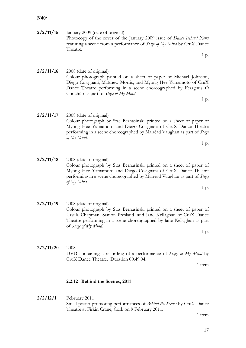**2/2/11/15** January 2009 (date of original) Photocopy of the cover of the January 2009 issue of *Dance Ireland News* featuring a scene from a performance of *Stage of My Mind* by CruX Dance Theatre.

1 p.

1 p.

1 p.

- **2/2/11/16** 2008 (date of original) Colour photograph printed on a sheet of paper of Michael Johnson, Diego Cosignani, Matthew Morris, and Myong Hee Yamamoto of CruX Dance Theatre performing in a scene choreographed by Fearghus Ó Conchúir as part of *Stage of My Mind*.
- **2/2/11/17** 2008 (date of original) Colour photograph by Staś Bernasinski printed on a sheet of paper of Myong Hee Yamamoto and Diego Cosignani of CruX Dance Theatre performing in a scene choreographed by Mairéad Vaughan as part of *Stage of My Mind*.
	- **2/2/11/18** 2008 (date of original) Colour photograph by Staś Bernasinski printed on a sheet of paper of Myong Hee Yamamoto and Diego Cosignani of CruX Dance Theatre performing in a scene choreographed by Mairéad Vaughan as part of *Stage of My Mind*.
	- **2/2/11/19** 2008 (date of original) Colour photograph by Staś Bernasinski printed on a sheet of paper of Ursula Chapman, Samon Presland, and Jane Kellaghan of CruX Dance Theatre performing in a scene choreographed by Jane Kellaghan as part of *Stage of My Mind*.
	- **2/2/11/20** 2008 DVD containing a recording of a performance of *Stage of My Mind* by CruX Dance Theatre. Duration 00:49:04.

1 item

#### <span id="page-19-0"></span>**2.2.12 Behind the Scenes, 2011**

**2/2/12/1** February 2011 Small poster promoting performances of *Behind the Scenes* by CruX Dance Theatre at Firkin Crane, Cork on 9 February 2011.

1 item

17

1 p.

1 p.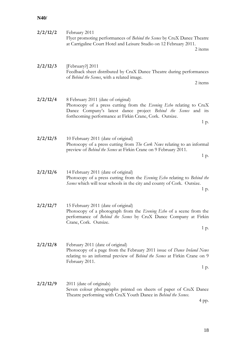| 2/2/12/2 | February 2011<br>Flyer promoting performances of Behind the Scenes by CruX Dance Theatre<br>at Carrigaline Court Hotel and Leisure Studio on 12 February 2011.<br>2 items                                                                      |
|----------|------------------------------------------------------------------------------------------------------------------------------------------------------------------------------------------------------------------------------------------------|
| 2/2/12/3 | [February?] 2011<br>Feedback sheet distributed by CruX Dance Theatre during performances<br>of Behind the Scenes, with a related image.<br>2 items                                                                                             |
| 2/2/12/4 | 8 February 2011 (date of original)<br>Photocopy of a press cutting from the Evening Echo relating to CruX<br>Dance Company's latest dance project Behind the Scenes and its<br>forthcoming performance at Firkin Crane, Cork. Outsize.<br>1 p. |
| 2/2/12/5 | 10 February 2011 (date of original)<br>Photocopy of a press cutting from The Cork News relating to an informal<br>preview of Behind the Scenes at Firkin Crane on 9 February 2011.<br>1 p.                                                     |
| 2/2/12/6 | 14 February 2011 (date of original)<br>Photocopy of a press cutting from the Evening Echo relating to Behind the<br>Scenes which will tour schools in the city and county of Cork. Outsize.<br>1 p.                                            |
| 2/2/12/7 | 15 February 2011 (date of original)<br>Photocopy of a photograph from the <i>Evening Echo</i> of a scene from the<br>performance of <i>Behind the Scenes</i> by CruX Dance Company at Firkin<br>Crane, Cork. Outsize.<br>1 p.                  |
| 2/2/12/8 | February 2011 (date of original)<br>Photocopy of a page from the February 2011 issue of <i>Dance Ireland News</i><br>relating to an informal preview of Behind the Scenes at Firkin Crane on 9<br>February 2011.<br>1 p.                       |
| 2/2/12/9 | 2011 (date of originals)<br>Seven colour photographs printed on sheets of paper of CruX Dance<br>Theatre performing with CruX Youth Dance in Behind the Scenes.<br>4 pp.                                                                       |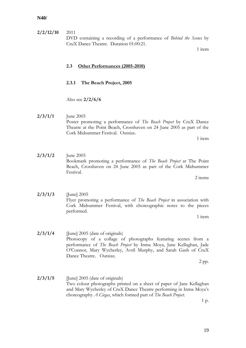**2/2/12/10** 2011 DVD containing a recording of a performance of *Behind the Scenes* by CruX Dance Theatre. Duration 01:00:21.

1 item

#### <span id="page-21-0"></span>**2.3 Other Performances (2005-2010)**

## <span id="page-21-1"></span>**2.3.1 The Beach Project, 2005**

Also see **2/2/6/6**

**2/3/1/1** June 2005 Poster promoting a performance of *The Beach Project* by CruX Dance Theatre at the Point Beach, Crosshaven on 24 June 2005 as part of the Cork Midsummer Festival. Outsize.

1 item

**2/3/1/2** June 2005 Bookmark promoting a performance of *The Beach Project* at The Point Beach, Crosshaven on 24 June 2005 as part of the Cork Midsummer Festival.

2 items

**2/3/1/3** [June] 2005 Flyer promoting a performance of *The Beach Project* in association with Cork Midsummer Festival, with choreographic notes to the pieces performed.

1 item

**2/3/1/4** [June] 2005 (date of originals) Photocopy of a collage of photographs featuring scenes from a performance of *The Beach Project* by Inma Moya, Jane Kellaghan, Jade O'Connor, Mary Wycherley, Avril Murphy, and Sarah Gash of CruX Dance Theatre. Outsize.

2 pp.

**2/3/1/5** [June] 2005 (date of originals) Two colour photographs printed on a sheet of paper of Jane Kellaghan and Mary Wycherley of CruX Dance Theatre performing in Inma Moya's choreography *A Ciegas*, which formed part of *The Beach Project*.

1 p.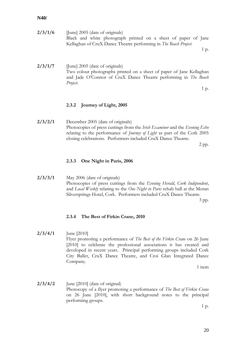| 2/3/1/6 | [June] 2005 (date of originals)                                  |  |
|---------|------------------------------------------------------------------|--|
|         | Black and white photograph printed on a sheet of paper of Jane   |  |
|         | Kellaghan of CruX Dance Theatre performing in The Beach Project. |  |
|         |                                                                  |  |

1 p.

**2/3/1/7** [June] 2005 (date of originals) Two colour photographs printed on a sheet of paper of Jane Kellaghan and Jade O'Connor of CruX Dance Theatre performing in *The Beach Project*.

1 p.

#### <span id="page-22-0"></span>**2.3.2 Journey of Light, 2005**

**2/3/2/1** December 2005 (date of originals) Photocopies of press cuttings from the *Irish Examiner* and the *Evening Echo* relating to the performance of *Journey of Light* as part of the Cork 2005 closing celebrations. Performers included CruX Dance Theatre.

2 pp.

#### <span id="page-22-1"></span>**2.3.3 One Night in Paris, 2006**

**2/3/3/1** May 2006 (date of originals) Photocopies of press cuttings from the *Evening Herald*, *Cork Independent*, and *Local Weekly* relating to the *One Night in Paris* rehab ball at the Moran Silversprings Hotel, Cork. Performers included CruX Dance Theatre. 3 pp.

<span id="page-22-2"></span>**2.3.4 The Best of Firkin Crane, 2010**

**2/3/4/1** June [2010] Flyer promoting a performance of *The Best of the Firkin Crane* on 26 June [2010] to celebrate the professional associations it has created and developed in recent years. Principal performing groups included Cork City Ballet, CruX Dance Theatre, and Croi Glan Integrated Dance Company.

1 item

**2/3/4/2** June [2010] (date of original) Photocopy of a flyer promoting a performance of *The Best of Firkin Crane* on 26 June [2010], with short background notes to the principal performing groups.

1 p.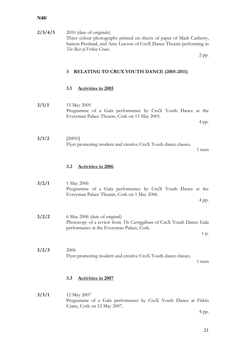<span id="page-23-1"></span><span id="page-23-0"></span>

| 2/3/4/3 | 2010 (date of originals)<br>Three colour photographs printed on sheets of paper of Mark Carberry,<br>Samon Presland, and Amy Lawson of CruX Dance Theatre performing in<br>The Best of Firkin Crane. |
|---------|------------------------------------------------------------------------------------------------------------------------------------------------------------------------------------------------------|
|         | 2 pp.                                                                                                                                                                                                |
|         | $\overline{3}$<br><b>RELATING TO CRUX YOUTH DANCE (2005-2011)</b>                                                                                                                                    |
|         | 3.1<br><b>Activities in 2005</b>                                                                                                                                                                     |
| 3/1/1   | 15 May 2005<br>Programme of a Gala performance by CruX Youth Dance at the<br>Everyman Palace Theatre, Cork on 15 May 2005.<br>4 pp.                                                                  |
| 3/1/2   | [2005!]<br>Flyer promoting modern and creative CruX Youth dance classes.<br>1 item                                                                                                                   |
|         | 3.2<br><b>Activities in 2006</b>                                                                                                                                                                     |
| 3/2/1   | 1 May 2006<br>Programme of a Gala performance by CruX Youth Dance at the<br>Everyman Palace Theatre, Cork on 1 May 2006.<br>4 pp.                                                                    |
| 3/2/2   | 6 May 2006 (date of original)<br>Photocopy of a review from The Carriggdhoun of CruX Youth Dance Gala<br>performance at the Everyman Palace, Cork.<br>1 p.                                           |
| 3/2/3   | 2006<br>Flyer promoting modern and creative CruX Youth dance classes.<br>1 item                                                                                                                      |
|         | 3.3<br><b>Activities in 2007</b>                                                                                                                                                                     |

## <span id="page-23-3"></span><span id="page-23-2"></span>**3/3/1** 12 May 2007 Programme of a Gala performance by CruX Youth Dance at Firkin Crane, Cork on 12 May 2007.

4 pp.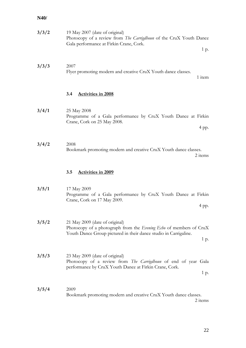<span id="page-24-1"></span><span id="page-24-0"></span>

| 3/3/2 | 19 May 2007 (date of original)<br>Photocopy of a review from The Carrigdhoun of the CruX Youth Dance<br>Gala performance at Firkin Crane, Cork.<br>1 p.                          |
|-------|----------------------------------------------------------------------------------------------------------------------------------------------------------------------------------|
| 3/3/3 | 2007<br>Flyer promoting modern and creative CruX Youth dance classes.<br>1 item                                                                                                  |
|       | 3.4<br><b>Activities in 2008</b>                                                                                                                                                 |
| 3/4/1 | 25 May 2008<br>Programme of a Gala performance by CruX Youth Dance at Firkin<br>Crane, Cork on 25 May 2008.<br>4 pp.                                                             |
| 3/4/2 | 2008<br>Bookmark promoting modern and creative CruX Youth dance classes.<br>2 items                                                                                              |
|       | 3.5<br><b>Activities in 2009</b>                                                                                                                                                 |
| 3/5/1 | 17 May 2009<br>Programme of a Gala performance by CruX Youth Dance at Firkin<br>Crane, Cork on 17 May 2009.<br>4 pp.                                                             |
| 3/5/2 | 21 May 2009 (date of original)<br>Photocopy of a photograph from the Evening Echo of members of CruX<br>Youth Dance Group pictured in their dance studio in Carrigaline.<br>1 p. |
| 3/5/3 | 23 May 2009 (date of original)<br>Photocopy of a review from The Carrigdhoun of end of year Gala<br>performance by CruX Youth Dance at Firkin Crane, Cork.<br>1 p.               |
| 3/5/4 | 2009<br>Bookmark promoting modern and creative CruX Youth dance classes.<br>2 items                                                                                              |